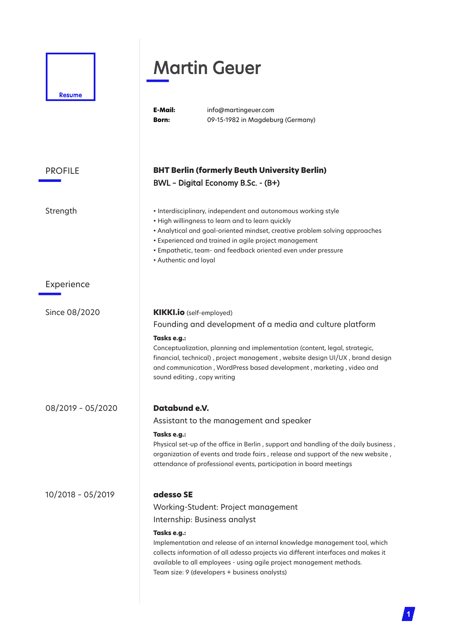|                   | <b>Martin Geuer</b>                                                                                                                                                                                                                                                                                                                                                                         |
|-------------------|---------------------------------------------------------------------------------------------------------------------------------------------------------------------------------------------------------------------------------------------------------------------------------------------------------------------------------------------------------------------------------------------|
| Resume            | E-Mail:<br>info@martingeuer.com<br>09-15-1982 in Magdeburg (Germany)<br><b>Born:</b>                                                                                                                                                                                                                                                                                                        |
| <b>PROFILE</b>    | <b>BHT Berlin (formerly Beuth University Berlin)</b><br>BWL - Digital Economy B.Sc. - (B+)                                                                                                                                                                                                                                                                                                  |
| Strength          | • Interdisciplinary, independent and autonomous working style<br>• High willingness to learn and to learn quickly<br>• Analytical and goal-oriented mindset, creative problem solving approaches<br>· Experienced and trained in agile project management<br>· Empathetic, team- and feedback oriented even under pressure<br>• Authentic and loyal                                         |
| Experience        |                                                                                                                                                                                                                                                                                                                                                                                             |
| Since 08/2020     | <b>KIKKI.io</b> (self-employed)<br>Founding and development of a media and culture platform<br>Tasks e.g.:<br>Conceptualization, planning and implementation (content, legal, strategic,<br>financial, technical), project management, website design UI/UX, brand design<br>and communication, WordPress based development, marketing, video and<br>sound editing, copy writing            |
| 08/2019 - 05/2020 | Databund e.V.<br>Assistant to the management and speaker<br>Tasks e.g.:<br>Physical set-up of the office in Berlin, support and handling of the daily business,<br>organization of events and trade fairs, release and support of the new website,<br>attendance of professional events, participation in board meetings                                                                    |
| 10/2018 - 05/2019 | adesso SE<br>Working-Student: Project management<br>Internship: Business analyst<br>Tasks e.g.:<br>Implementation and release of an internal knowledge management tool, which<br>collects information of all adesso projects via different interfaces and makes it<br>available to all employees - using agile project management methods.<br>Team size: 9 (developers + business analysts) |

**1**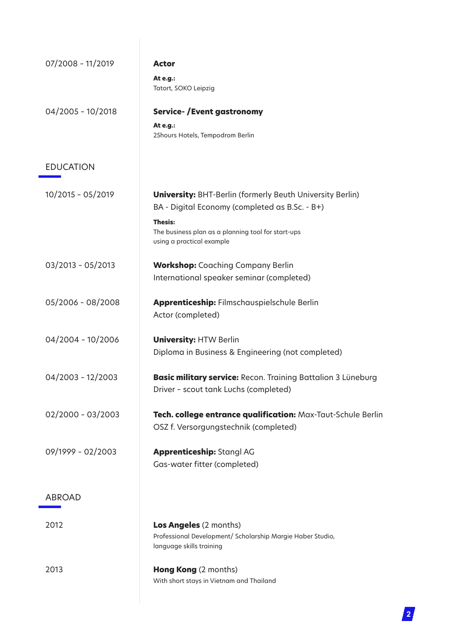| 07/2008 - 11/2019   | <b>Actor</b>                                                                                                            |
|---------------------|-------------------------------------------------------------------------------------------------------------------------|
|                     | At e.g.:<br>Tatort, SOKO Leipzig                                                                                        |
| 04/2005 - 10/2018   | <b>Service-/Event gastronomy</b>                                                                                        |
|                     | At e.g.:<br>25hours Hotels, Tempodrom Berlin                                                                            |
| <b>EDUCATION</b>    |                                                                                                                         |
| 10/2015 - 05/2019   | <b>University:</b> BHT-Berlin (formerly Beuth University Berlin)<br>BA - Digital Economy (completed as B.Sc. - B+)      |
|                     | <b>Thesis:</b><br>The business plan as a planning tool for start-ups<br>using a practical example                       |
| 03/2013 - 05/2013   | <b>Workshop:</b> Coaching Company Berlin                                                                                |
|                     | International speaker seminar (completed)                                                                               |
| 05/2006 - 08/2008   | Apprenticeship: Filmschauspielschule Berlin<br>Actor (completed)                                                        |
| 04/2004 - 10/2006   | <b>University: HTW Berlin</b><br>Diploma in Business & Engineering (not completed)                                      |
| 04/2003 - 12/2003   | Basic military service: Recon. Training Battalion 3 Lüneburg<br>Driver - scout tank Luchs (completed)                   |
| $02/2000 - 03/2003$ | Tech. college entrance qualification: Max-Taut-Schule Berlin<br>OSZ f. Versorgungstechnik (completed)                   |
| 09/1999 - 02/2003   | <b>Apprenticeship: Stangl AG</b><br>Gas-water fitter (completed)                                                        |
| <b>ABROAD</b>       |                                                                                                                         |
| 2012                | <b>Los Angeles</b> (2 months)<br>Professional Development/ Scholarship Margie Haber Studio,<br>language skills training |
| 2013                | <b>Hong Kong</b> (2 months)<br>With short stays in Vietnam and Thailand                                                 |